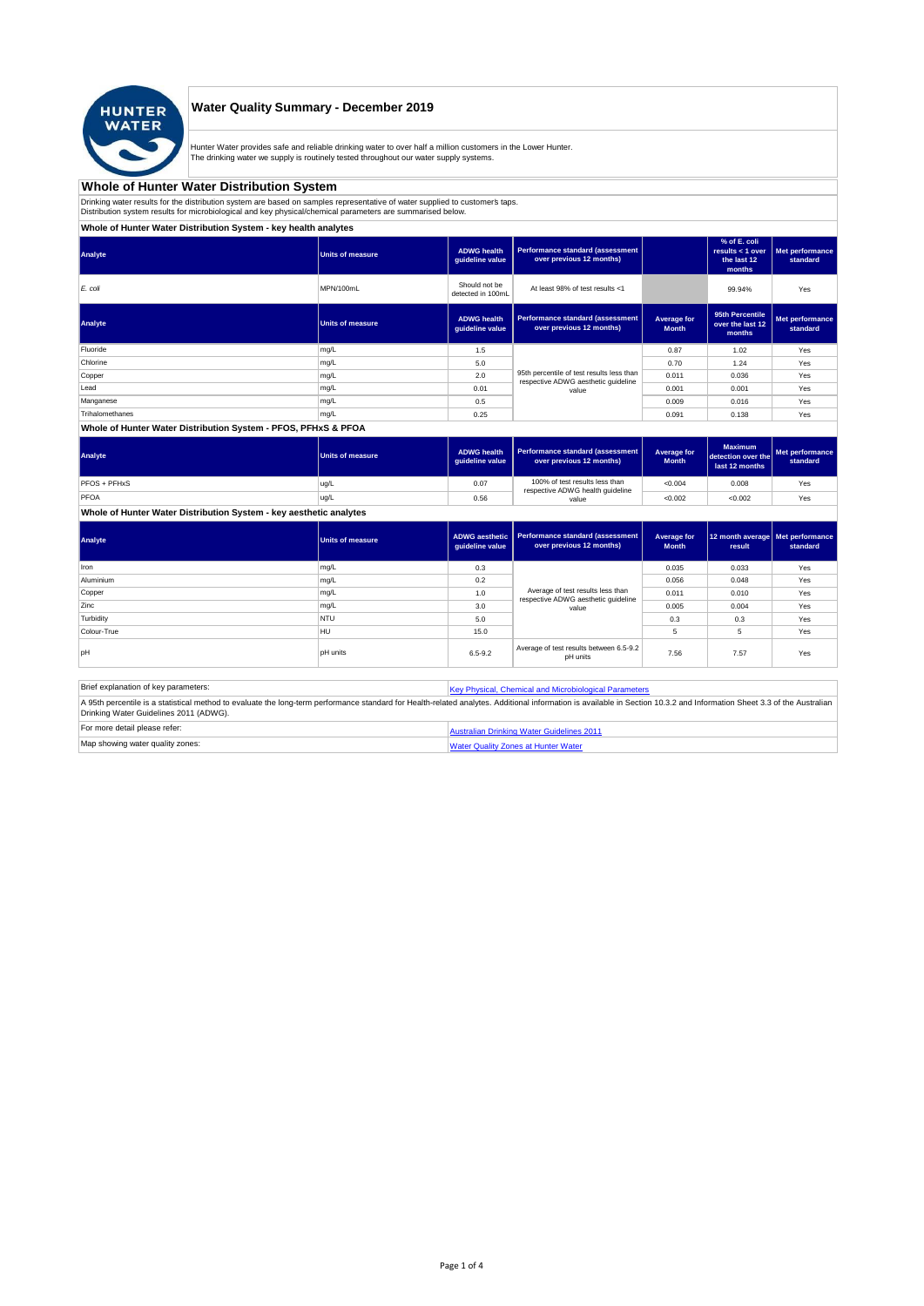

# **Water Quality Summary - December 2019**

Hunter Water provides safe and reliable drinking water to over half a million customers in the Lower Hunter.<br>The drinking water we supply is routinely tested throughout our water supply systems.

### **Whole of Hunter Water Distribution System**

Drinking water results for the distribution system are based on samples representative of water supplied to customer's taps.<br>Distribution system results for microbiological and key physical/chemical parameters are summaris

### **Whole of Hunter Water Distribution System - key health analytes**

| <b>Units of measure</b> | <b>ADWG</b> health<br>quideline value | Performance standard (assessment<br>over previous 12 months)        |                                                                                  | % of E. coli<br>results $<$ 1 over<br>the last 12<br>months | Met performance<br>standard |
|-------------------------|---------------------------------------|---------------------------------------------------------------------|----------------------------------------------------------------------------------|-------------------------------------------------------------|-----------------------------|
| MPN/100mL               | Should not be<br>detected in 100mL    | At least 98% of test results <1                                     |                                                                                  | 99.94%                                                      | Yes                         |
| <b>Units of measure</b> | <b>ADWG</b> health<br>guideline value | <b>Performance standard (assessment</b><br>over previous 12 months) | Average for<br><b>Month</b>                                                      | 95th Percentile<br>over the last 12<br>months               | Met performance<br>standard |
| mg/L                    | 1.5                                   |                                                                     | 0.87                                                                             | 1.02                                                        | Yes                         |
| mg/L                    | 5.0                                   |                                                                     | 0.70                                                                             | 1.24                                                        | Yes                         |
| mg/L                    | 2.0                                   |                                                                     | 0.011                                                                            | 0.036                                                       | Yes                         |
| mg/L                    | 0.01                                  | value                                                               | 0.001                                                                            | 0.001                                                       | Yes                         |
| mg/L                    | 0.5                                   |                                                                     | 0.009                                                                            | 0.016                                                       | Yes                         |
| mg/L                    | 0.25                                  |                                                                     | 0.091                                                                            | 0.138                                                       | Yes                         |
|                         |                                       |                                                                     | 95th percentile of test results less than<br>respective ADWG aesthetic quideline |                                                             |                             |

### **Whole of Hunter Water Distribution System - PFOS, PFHxS & PFOA**

| Analyte      | <b>Units of measure</b> | <b>ADWG health</b><br>quideline value | Performance standard (assessment  <br>over previous 12 months)     | Average for<br><b>Month</b> | <b>Maximum</b><br>detection over the<br>last 12 months | Met performance<br>standard |
|--------------|-------------------------|---------------------------------------|--------------------------------------------------------------------|-----------------------------|--------------------------------------------------------|-----------------------------|
| PFOS + PFHxS | ug/L                    | 0.07                                  | 100% of test results less than<br>respective ADWG health guideline | < 0.004                     | 0.008                                                  | Yes                         |
| PFOA         | ug/L                    | 0.56                                  | value                                                              | < 0.002                     | < 0.002                                                | Yes                         |

**Whole of Hunter Water Distribution System - key aesthetic analytes**

| Analyte     | <b>Units of measure</b> | quideline value | ADWG aesthetic   Performance standard (assessment<br>over previous 12 months) | Average for<br><b>Month</b> | 12 month average   Met performance<br>result | standard |
|-------------|-------------------------|-----------------|-------------------------------------------------------------------------------|-----------------------------|----------------------------------------------|----------|
| Iron        | mg/L                    | 0.3             |                                                                               | 0.035                       | 0.033                                        | Yes      |
| Aluminium   | mg/L                    | 0.2             |                                                                               | 0.056                       | 0.048                                        | Yes      |
| Copper      | mg/L                    | 1.0             | Average of test results less than                                             | 0.011                       | 0.010                                        | Yes      |
| Zinc        | mg/L                    | 3.0             | respective ADWG aesthetic quideline<br>value                                  | 0.005                       | 0.004                                        | Yes      |
| Turbidity   | <b>NTU</b>              | 5.0             |                                                                               | 0.3                         | 0.3                                          | Yes      |
| Colour-True | HU                      | 15.0            |                                                                               | 5                           | 5                                            | Yes      |
| loH         | <b>pH</b> units         | $6.5 - 9.2$     | Average of test results between 6.5-9.2<br>pH units                           | 7.56                        | 7.57                                         | Yes      |

| Brief explanation of key parameters:   | Key Physical, Chemical and Microbiological Parameters                                                                                                                                                                   |
|----------------------------------------|-------------------------------------------------------------------------------------------------------------------------------------------------------------------------------------------------------------------------|
| Drinking Water Guidelines 2011 (ADWG). | A 95th percentile is a statistical method to evaluate the long-term performance standard for Health-related analytes. Additional information is available in Section 10.3.2 and Information Sheet 3.3 of the Australian |
| For more detail please refer:          | Australian Drinking Water Guidelines 2011                                                                                                                                                                               |
| Map showing water quality zones:       | <b>Water Quality Zones at Hunter Water</b>                                                                                                                                                                              |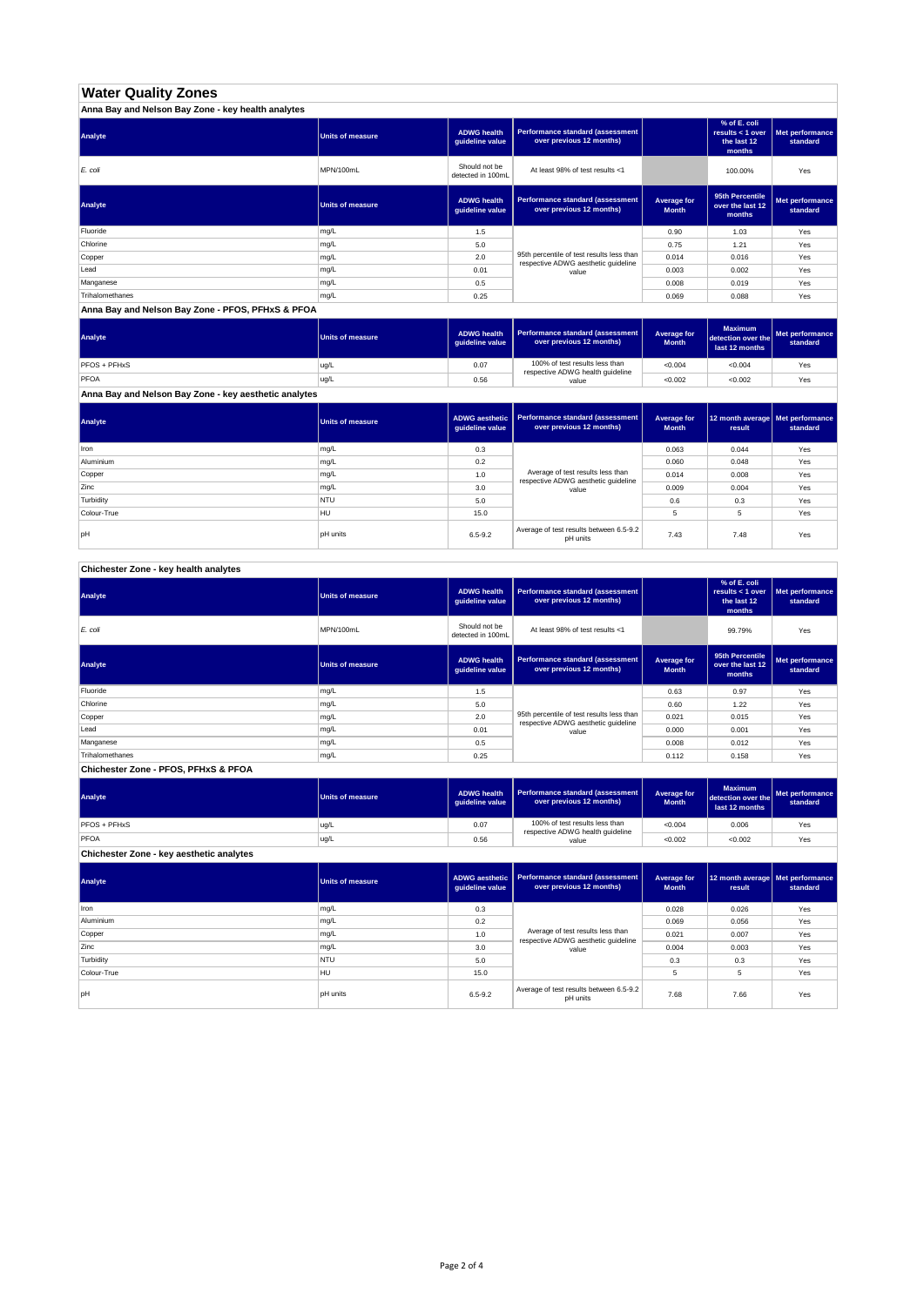# **Water Quality Zones**

| Anna Bay and Nelson Bay Zone - key health analytes |                  |                                       |                                                                                  |                             |                                                           |                             |  |  |
|----------------------------------------------------|------------------|---------------------------------------|----------------------------------------------------------------------------------|-----------------------------|-----------------------------------------------------------|-----------------------------|--|--|
| Analyte                                            | Units of measure | <b>ADWG health</b><br>quideline value | Performance standard (assessment<br>over previous 12 months)                     |                             | % of E. coli<br>results < 1 over<br>the last 12<br>months | Met performance<br>standard |  |  |
| E. coli                                            | MPN/100mL        | Should not be<br>detected in 100mL    | At least 98% of test results <1                                                  |                             | 100.00%                                                   | Yes                         |  |  |
| Analyte                                            | Units of measure | <b>ADWG health</b><br>quideline value | Performance standard (assessment<br>over previous 12 months)                     | Average for<br><b>Month</b> | 95th Percentile<br>over the last 12<br>months             | Met performance<br>standard |  |  |
| Fluoride                                           | mg/L             | 1.5                                   |                                                                                  | 0.90                        | 1.03                                                      | Yes                         |  |  |
| Chlorine                                           | mg/L             | 5.0                                   |                                                                                  | 0.75                        | 1.21                                                      | Yes                         |  |  |
| Copper                                             | mg/L             | 2.0                                   | 95th percentile of test results less than<br>respective ADWG aesthetic quideline | 0.014                       | 0.016                                                     | Yes                         |  |  |
| Lead                                               | mg/L             | 0.01                                  | value                                                                            | 0.003                       | 0.002                                                     | Yes                         |  |  |
| Manganese                                          | mg/L             | 0.5                                   |                                                                                  | 0.008                       | 0.019                                                     | Yes                         |  |  |
| Trihalomethanes                                    | mg/L             | 0.25                                  |                                                                                  | 0.069                       | 0.088                                                     | Yes                         |  |  |

### **Anna Bay and Nelson Bay Zone - PFOS, PFHxS & PFOA**

| Analyte             | Units of measure | <b>ADWG health</b><br>quideline value | Performance standard (assessment<br>over previous 12 months)       | Average for<br><b>Month</b> | <b>Maximum</b><br>detection over the<br>last 12 months | Met performance<br>standard |
|---------------------|------------------|---------------------------------------|--------------------------------------------------------------------|-----------------------------|--------------------------------------------------------|-----------------------------|
| <b>PFOS + PFHxS</b> | ug/L             | 0.07                                  | 100% of test results less than<br>respective ADWG health guideline | < 0.004                     | < 0.004                                                | Yes                         |
| PFOA                | ug/L             | 0.56                                  | value                                                              | < 0.002                     | < 0.002                                                | Yes                         |

**Anna Bay and Nelson Bay Zone - key aesthetic analytes**

| Analyte     | Units of measure | guideline value | ADWG aesthetic   Performance standard (assessment<br>over previous 12 months) | Average for<br><b>Month</b> | 12 month average   Met performance<br>result | standard |
|-------------|------------------|-----------------|-------------------------------------------------------------------------------|-----------------------------|----------------------------------------------|----------|
| Iron        | mg/L             | 0.3             |                                                                               | 0.063                       | 0.044                                        | Yes      |
| Aluminium   | mg/L             | 0.2             |                                                                               | 0.060                       | 0.048                                        | Yes      |
| Copper      | mg/L             | 1.0             | Average of test results less than<br>respective ADWG aesthetic quideline      | 0.014                       | 0.008                                        | Yes      |
| Zinc        | mg/L             | 3.0             | value                                                                         | 0.009                       | 0.004                                        | Yes      |
| Turbidity   | <b>NTU</b>       | 5.0             |                                                                               | 0.6                         | 0.3                                          | Yes      |
| Colour-True | HU               | 15.0            |                                                                               | 5                           | 5                                            | Yes      |
| lpH         | <b>pH</b> units  | $6.5 - 9.2$     | Average of test results between 6.5-9.2<br>pH units                           | 7.43                        | 7.48                                         | Yes      |

# **Chichester Zone - key health analytes**

| Analyte                              | <b>Units of measure</b> | <b>ADWG health</b><br>quideline value | Performance standard (assessment<br>over previous 12 months)                     |                             | % of E. coli<br>results < 1 over<br>the last 12<br>months | Met performance<br>standard |
|--------------------------------------|-------------------------|---------------------------------------|----------------------------------------------------------------------------------|-----------------------------|-----------------------------------------------------------|-----------------------------|
| E. coli                              | MPN/100mL               | Should not be<br>detected in 100mL    | At least 98% of test results <1                                                  |                             | 99.79%                                                    | Yes                         |
| Analyte                              | <b>Units of measure</b> | <b>ADWG health</b><br>quideline value | Performance standard (assessment<br>over previous 12 months)                     | Average for<br><b>Month</b> | 95th Percentile<br>over the last 12<br>months             | Met performance<br>standard |
| Fluoride                             | mg/L                    | 1.5                                   |                                                                                  | 0.63                        | 0.97                                                      | Yes                         |
| Chlorine                             | mg/L                    | 5.0                                   |                                                                                  | 0.60                        | 1.22                                                      | Yes                         |
| Copper                               | mg/L                    | 2.0                                   | 95th percentile of test results less than<br>respective ADWG aesthetic guideline | 0.021                       | 0.015                                                     | Yes                         |
| Lead                                 | mg/L                    | 0.01                                  | value                                                                            | 0.000                       | 0.001                                                     | Yes                         |
| Manganese                            | mg/L                    | 0.5                                   |                                                                                  | 0.008                       | 0.012                                                     | Yes                         |
| Trihalomethanes                      | mg/L                    | 0.25                                  |                                                                                  | 0.112                       | 0.158                                                     | Yes                         |
| Chichester Zone - PFOS, PFHxS & PFOA |                         |                                       |                                                                                  |                             |                                                           |                             |

| Analyte                                  | <b>Units of measure</b> | <b>ADWG health</b><br>guideline value | Performance standard (assessment<br>over previous 12 months)       | Average for<br><b>Month</b> | <b>Maximum</b><br>detection over the<br>last 12 months | Met performance<br>standard |
|------------------------------------------|-------------------------|---------------------------------------|--------------------------------------------------------------------|-----------------------------|--------------------------------------------------------|-----------------------------|
| <b>PFOS + PFHxS</b>                      | ug/L                    | 0.07                                  | 100% of test results less than<br>respective ADWG health guideline | < 0.004                     | 0.006                                                  | Yes                         |
| <b>PFOA</b>                              | lug/L                   | 0.56                                  | value                                                              | < 0.002                     | < 0.002                                                | Yes                         |
| Chichester Zone - key aesthetic analytes |                         |                                       |                                                                    |                             |                                                        |                             |

| Analyte     | <b>Units of measure</b> | guideline value | ADWG aesthetic   Performance standard (assessment<br>over previous 12 months) | Average for<br><b>Month</b> | 12 month average   Met performance<br>result | standard |
|-------------|-------------------------|-----------------|-------------------------------------------------------------------------------|-----------------------------|----------------------------------------------|----------|
| Iron        | mg/L                    | 0.3             |                                                                               | 0.028                       | 0.026                                        | Yes      |
| Aluminium   | mg/L                    | 0.2             |                                                                               | 0.069                       | 0.056                                        | Yes      |
| Copper      | mg/L                    | 1.0             | Average of test results less than                                             | 0.021                       | 0.007                                        | Yes      |
| Zinc        | mg/L                    | 3.0             | respective ADWG aesthetic quideline<br>value                                  | 0.004                       | 0.003                                        | Yes      |
| Turbidity   | <b>NTU</b>              | 5.0             |                                                                               | 0.3                         | 0.3                                          | Yes      |
| Colour-True | HU                      | 15.0            |                                                                               | 5                           | 5                                            | Yes      |
| loH         | <b>pH</b> units         | $6.5 - 9.2$     | Average of test results between 6.5-9.2<br>pH units                           | 7.68                        | 7.66                                         | Yes      |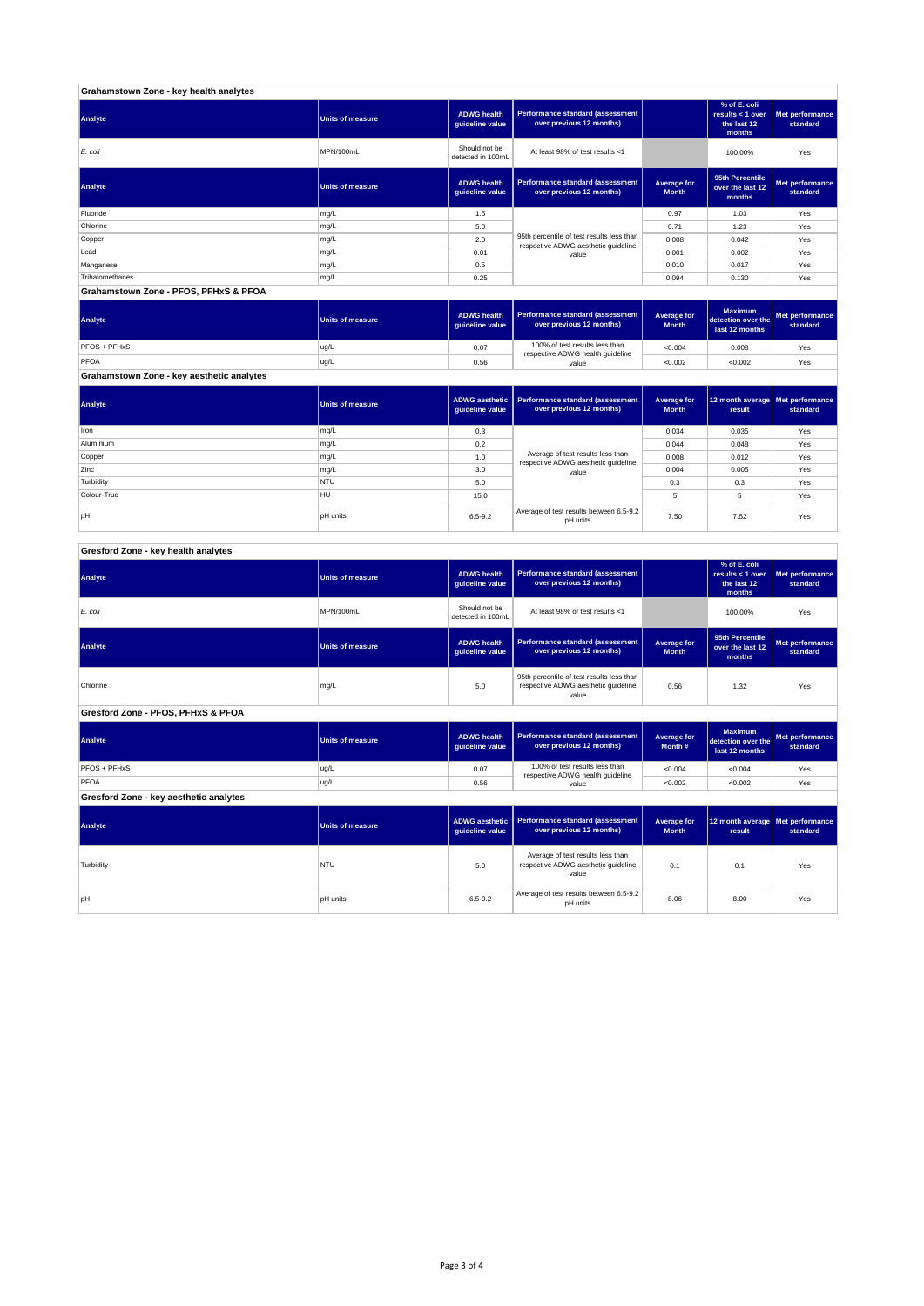| Grahamstown Zone - key health analytes |                         |                                       |                                                                                  |                             |                                                           |                             |  |  |
|----------------------------------------|-------------------------|---------------------------------------|----------------------------------------------------------------------------------|-----------------------------|-----------------------------------------------------------|-----------------------------|--|--|
| Analyte                                | <b>Units of measure</b> | <b>ADWG health</b><br>guideline value | Performance standard (assessment<br>over previous 12 months)                     |                             | % of E. coli<br>results < 1 over<br>the last 12<br>months | Met performance<br>standard |  |  |
| E. coli                                | MPN/100mL               | Should not be<br>detected in 100mL    | At least 98% of test results <1                                                  |                             | 100.00%                                                   | Yes                         |  |  |
| Analyte                                | <b>Units of measure</b> | <b>ADWG health</b><br>guideline value | Performance standard (assessment<br>over previous 12 months)                     | Average for<br><b>Month</b> | 95th Percentile<br>over the last 12<br>months             | Met performance<br>standard |  |  |
| Fluoride                               | mg/L                    | 1.5                                   |                                                                                  | 0.97                        | 1.03                                                      | Yes                         |  |  |
| Chlorine                               | mg/L                    | 5.0                                   |                                                                                  | 0.71                        | 1.23                                                      | Yes                         |  |  |
| Copper                                 | mg/L                    | 2.0                                   | 95th percentile of test results less than<br>respective ADWG aesthetic quideline | 0.008                       | 0.042                                                     | Yes                         |  |  |
| Lead                                   | mg/L                    | 0.01                                  | value                                                                            | 0.001                       | 0.002                                                     | Yes                         |  |  |
| Manganese                              | mg/L                    | 0.5                                   |                                                                                  | 0.010                       | 0.017                                                     | Yes                         |  |  |
| Trihalomethanes                        | mg/L                    | 0.25                                  |                                                                                  | 0.094                       | 0.130                                                     | Yes                         |  |  |
| Grahamstown Zone - PFOS, PFHxS & PFOA  |                         |                                       |                                                                                  |                             |                                                           |                             |  |  |

| Analyte                                   | Units of measure | <b>ADWG health</b><br>guideline value | Performance standard (assessment<br>over previous 12 months)       | <b>Average for</b><br><b>Month</b> | <b>Maximum</b><br>detection over the<br>last 12 months | Met performance<br>standard |
|-------------------------------------------|------------------|---------------------------------------|--------------------------------------------------------------------|------------------------------------|--------------------------------------------------------|-----------------------------|
| PFOS + PFHxS                              | ug/L             | 0.07                                  | 100% of test results less than<br>respective ADWG health guideline | < 0.004                            | 0.008                                                  | Yes                         |
| PFOA                                      | ug/L             | 0.56                                  | value                                                              | < 0.002                            | < 0.002                                                | Yes                         |
| Grahamstown Zone - key aesthetic analytes |                  |                                       |                                                                    |                                    |                                                        |                             |

| Analyte     | Units of measure | guideline value | ADWG aesthetic   Performance standard (assessment<br>over previous 12 months) | Average for<br><b>Month</b> | 12 month average   Met performance<br>result | standard |
|-------------|------------------|-----------------|-------------------------------------------------------------------------------|-----------------------------|----------------------------------------------|----------|
| <b>Iron</b> | mg/L             | 0.3             |                                                                               | 0.034                       | 0.035                                        | Yes      |
| Aluminium   | mg/L             | 0.2             |                                                                               | 0.044                       | 0.048                                        | Yes      |
| Copper      | mg/L             | 1.0             | Average of test results less than<br>respective ADWG aesthetic quideline      | 0.008                       | 0.012                                        | Yes      |
| Zinc        | mg/L             | 3.0             | value                                                                         | 0.004                       | 0.005                                        | Yes      |
| Turbidity   | <b>NTU</b>       | 5.0             |                                                                               | 0.3                         | 0.3                                          | Yes      |
| Colour-True | HU               | 15.0            |                                                                               |                             | 5                                            | Yes      |
| lpH         | <b>pH</b> units  | $6.5 - 9.2$     | Average of test results between 6.5-9.2<br>pH units                           | 7.50                        | 7.52                                         | Yes      |

## **Gresford Zone - key health analytes**

| Analyte                                | <b>Units of measure</b> | <b>ADWG health</b><br>guideline value                                                            | Performance standard (assessment<br>over previous 12 months)        |                             | % of E. coli<br>results < 1 over<br>the last 12<br>months | Met performance<br>standard |
|----------------------------------------|-------------------------|--------------------------------------------------------------------------------------------------|---------------------------------------------------------------------|-----------------------------|-----------------------------------------------------------|-----------------------------|
| E. coli                                | MPN/100mL               | Should not be<br>detected in 100mL                                                               | At least 98% of test results <1                                     |                             | 100.00%                                                   | Yes                         |
| Analyte                                | <b>Units of measure</b> | <b>ADWG health</b><br>guideline value                                                            | <b>Performance standard (assessment</b><br>over previous 12 months) | Average for<br><b>Month</b> | 95th Percentile<br>over the last 12<br>months             | Met performance<br>standard |
| Chlorine                               | mg/L                    | 95th percentile of test results less than<br>5.0<br>respective ADWG aesthetic quideline<br>value |                                                                     | 0.56                        | 1.32                                                      | Yes                         |
| Gresford Zone - PFOS, PFHxS & PFOA     |                         |                                                                                                  |                                                                     |                             |                                                           |                             |
| Analyte                                | <b>Units of measure</b> | <b>ADWG health</b><br>guideline value                                                            | <b>Performance standard (assessment</b><br>over previous 12 months) | Average for<br>Month #      | <b>Maximum</b><br>detection over the<br>last 12 months    | Met performance<br>standard |
| PFOS + PFHxS                           | ug/L                    | 0.07                                                                                             | 100% of test results less than                                      | < 0.004                     | < 0.004                                                   | Yes                         |
| <b>PFOA</b>                            | ug/L                    | 0.56                                                                                             | value                                                               | < 0.002                     | < 0.002                                                   | Yes                         |
| Gresford Zone - key aesthetic analytes |                         |                                                                                                  |                                                                     |                             |                                                           |                             |
| Analyte                                | <b>Units of measure</b> | <b>ADWG aesthetic</b><br>guideline value                                                         | Performance standard (assessment<br>over previous 12 months)        | Average for<br><b>Month</b> | 12 month average   Met performance<br>result              | standard                    |
|                                        |                         |                                                                                                  | respective ADWG health quideline                                    |                             |                                                           |                             |

| Analyte   | <b>Units of measure</b> | ADWG aesthetic   Performance standard (assessment  <br>over previous 12 months)<br>quideline value |                                                                                   | Average for<br><b>Month</b> | 12 month average   Met performance<br>result | standard |
|-----------|-------------------------|----------------------------------------------------------------------------------------------------|-----------------------------------------------------------------------------------|-----------------------------|----------------------------------------------|----------|
| Turbidity | <b>NTU</b>              | 5.0                                                                                                | Average of test results less than<br>respective ADWG aesthetic quideline<br>value |                             | 0.1                                          | Yes      |
| pН        | <b>pH</b> units         | $6.5 - 9.2$                                                                                        | Average of test results between 6.5-9.2<br>pH units                               | 8.06                        | 8.00                                         | Yes      |